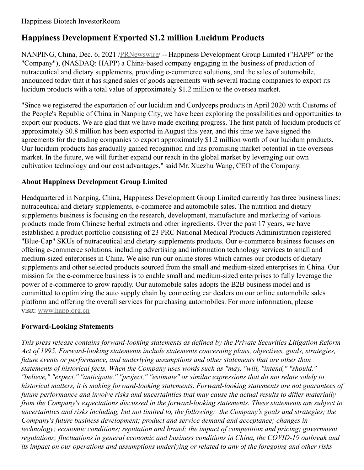## **Happiness Development Exported \$1.2 million Lucidum Products**

NANPING, China, Dec. 6, 2021 [/PRNewswire](http://www.prnewswire.com/)/ -- Happiness Development Group Limited ("HAPP" or the "Company"), **(**NASDAQ: HAPP) a China-based company engaging in the business of production of nutraceutical and dietary supplements, providing e-commerce solutions, and the sales of automobile, announced today that it has signed sales of goods agreements with several trading companies to export its lucidum products with a total value of approximately \$1.2 million to the oversea market.

"Since we registered the exportation of our lucidum and Cordyceps products in April 2020 with Customs of the People's Republic of China in Nanping City, we have been exploring the possibilities and opportunities to export our products. We are glad that we have made exciting progress. The first patch of lucidum products of approximately \$0.8 million has been exported in August this year, and this time we have signed the agreements for the trading companies to export approximately \$1.2 million worth of our lucidum products. Our lucidum products has gradually gained recognition and has promising market potential in the overseas market. In the future, we will further expand our reach in the global market by leveraging our own cultivation technology and our cost advantages," said Mr. Xuezhu Wang, CEO of the Company.

## **About Happiness Development Group Limited**

Headquartered in Nanping, China, Happiness Development Group Limited currently has three business lines: nutraceutical and dietary supplements, e-commerce and automobile sales. The nutrition and dietary supplements business is focusing on the research, development, manufacture and marketing of various products made from Chinese herbal extracts and other ingredients. Over the past 17 years, we have established a product portfolio consisting of 23 PRC National Medical Products Administration registered "Blue-Cap" SKUs of nutraceutical and dietary supplements products. Our e-commerce business focuses on offering e-commerce solutions, including advertising and information technology services to small and medium-sized enterprises in China. We also run our online stores which carries our products of dietary supplements and other selected products sourced from the small and medium-sized enterprises in China. Our mission for the e-commerce business is to enable small and medium-sized enterprises to fully leverage the power of e-commerce to grow rapidly. Our automobile sales adopts the B2B business model and is committed to optimizing the auto supply chain by connecting car dealers on our online automobile sales platform and offering the overall services for purchasing automobiles. For more information, please visit: [www.happ.org.cn](http://www.happ.org.cn/)

## **Forward-Looking Statements**

*This press release contains forward-looking statements as defined by the Private Securities Litigation Reform Act of 1995. Forward-looking statements include statements concerning plans, objectives, goals, strategies, future events or performance, and underlying assumptions and other statements that are other than statements of historical facts. When the Company uses words such as "may, "will, "intend," "should," "believe," "expect," "anticipate," "project," "estimate" or similar expressions that do not relate solely to historical matters, it is making forward-looking statements. Forward-looking statements are not guarantees of* future performance and involve risks and uncertainties that may cause the actual results to differ materially *from the Company's expectations discussed in the forward-looking statements. These statements are subject to uncertainties and risks including, but not limited to, the following: the Company's goals and strategies; the Company's future business development; product and service demand and acceptance; changes in technology; economic conditions; reputation and brand; the impact of competition and pricing; government regulations; fluctuations in general economic and business conditions in China, the COVID-19 outbreak and* its impact on our operations and assumptions underlying or related to any of the foregoing and other risks